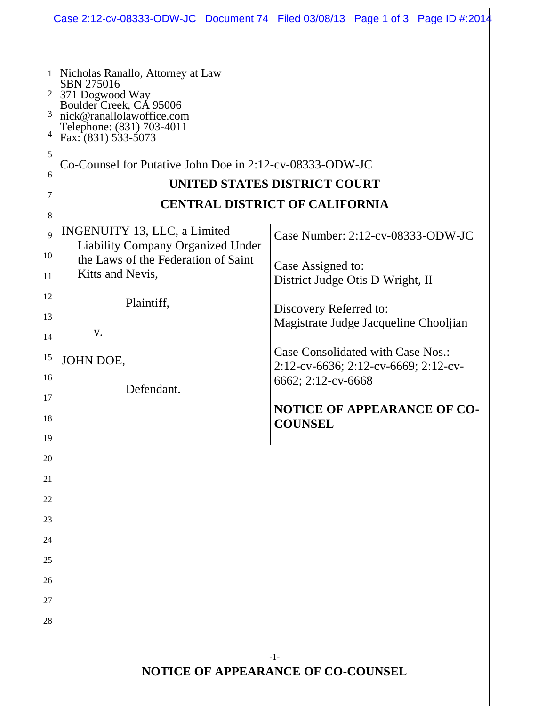|                |                                                                                                                                                         | Case 2:12-cv-08333-ODW-JC Document 74 Filed 03/08/13 Page 1 of 3 Page ID #:2014 |  |  |  |  |  |
|----------------|---------------------------------------------------------------------------------------------------------------------------------------------------------|---------------------------------------------------------------------------------|--|--|--|--|--|
|                |                                                                                                                                                         |                                                                                 |  |  |  |  |  |
| 3              | Nicholas Ranallo, Attorney at Law<br>SBN 275016<br>371 Dogwood Way<br>Boulder Creek, CA 95006<br>nick@ranallolawoffice.com<br>Telephone: (831) 703-4011 |                                                                                 |  |  |  |  |  |
| $\mathfrak{h}$ | Fax: (831) 533-5073                                                                                                                                     |                                                                                 |  |  |  |  |  |
| 6              | Co-Counsel for Putative John Doe in 2:12-cv-08333-ODW-JC                                                                                                |                                                                                 |  |  |  |  |  |
|                |                                                                                                                                                         | UNITED STATES DISTRICT COURT<br><b>CENTRAL DISTRICT OF CALIFORNIA</b>           |  |  |  |  |  |
| 8              |                                                                                                                                                         |                                                                                 |  |  |  |  |  |
| 9              | INGENUITY 13, LLC, a Limited<br><b>Liability Company Organized Under</b>                                                                                | Case Number: 2:12-cv-08333-ODW-JC                                               |  |  |  |  |  |
| 10<br>11       | the Laws of the Federation of Saint<br>Kitts and Nevis,                                                                                                 | Case Assigned to:                                                               |  |  |  |  |  |
| 12             |                                                                                                                                                         | District Judge Otis D Wright, II                                                |  |  |  |  |  |
| 13             | Plaintiff,                                                                                                                                              | Discovery Referred to:                                                          |  |  |  |  |  |
| 14             | V.                                                                                                                                                      | Magistrate Judge Jacqueline Chooljian                                           |  |  |  |  |  |
| 15<br>16       | JOHN DOE,                                                                                                                                               | Case Consolidated with Case Nos.:<br>2:12-cv-6636; 2:12-cv-6669; 2:12-cv-       |  |  |  |  |  |
| 17             | Defendant.                                                                                                                                              | 6662; 2:12-cv-6668                                                              |  |  |  |  |  |
| 18             |                                                                                                                                                         | <b>NOTICE OF APPEARANCE OF CO-</b><br><b>COUNSEL</b>                            |  |  |  |  |  |
| 19             |                                                                                                                                                         |                                                                                 |  |  |  |  |  |
| 20             |                                                                                                                                                         |                                                                                 |  |  |  |  |  |
| 21<br>22       |                                                                                                                                                         |                                                                                 |  |  |  |  |  |
| 23             |                                                                                                                                                         |                                                                                 |  |  |  |  |  |
| 24             |                                                                                                                                                         |                                                                                 |  |  |  |  |  |
| 25             |                                                                                                                                                         |                                                                                 |  |  |  |  |  |
| 26             |                                                                                                                                                         |                                                                                 |  |  |  |  |  |
| 27             |                                                                                                                                                         |                                                                                 |  |  |  |  |  |
| 28             |                                                                                                                                                         |                                                                                 |  |  |  |  |  |
|                |                                                                                                                                                         | $-1-$                                                                           |  |  |  |  |  |
|                | NOTICE OF APPEARANCE OF CO-COUNSEL                                                                                                                      |                                                                                 |  |  |  |  |  |
|                |                                                                                                                                                         |                                                                                 |  |  |  |  |  |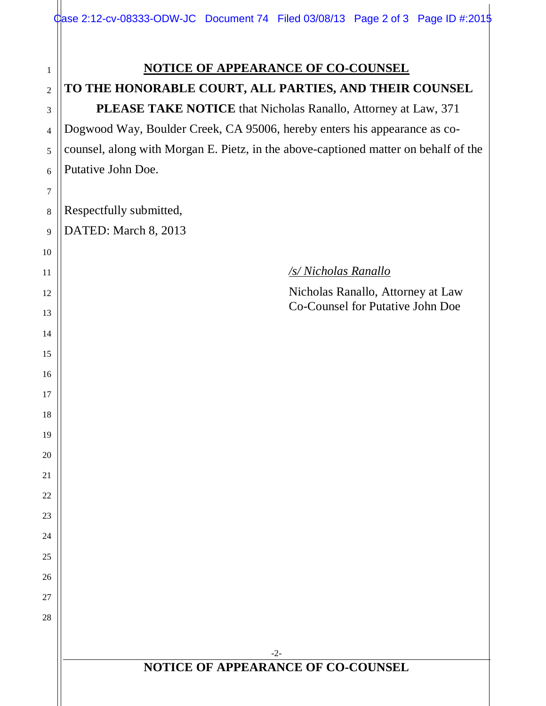## **TO THE HONORABLE COURT, ALL PARTIES, AND THEIR COUNSEL**

 **PLEASE TAKE NOTICE** that Nicholas Ranallo, Attorney at Law, 371 Dogwood Way, Boulder Creek, CA 95006, hereby enters his appearance as cocounsel, along with Morgan E. Pietz, in the above-captioned matter on behalf of the Putative John Doe.

Respectfully submitted, DATED: March 8, 2013

*/s/ Nicholas Ranallo*

Nicholas Ranallo, Attorney at Law Co-Counsel for Putative John Doe